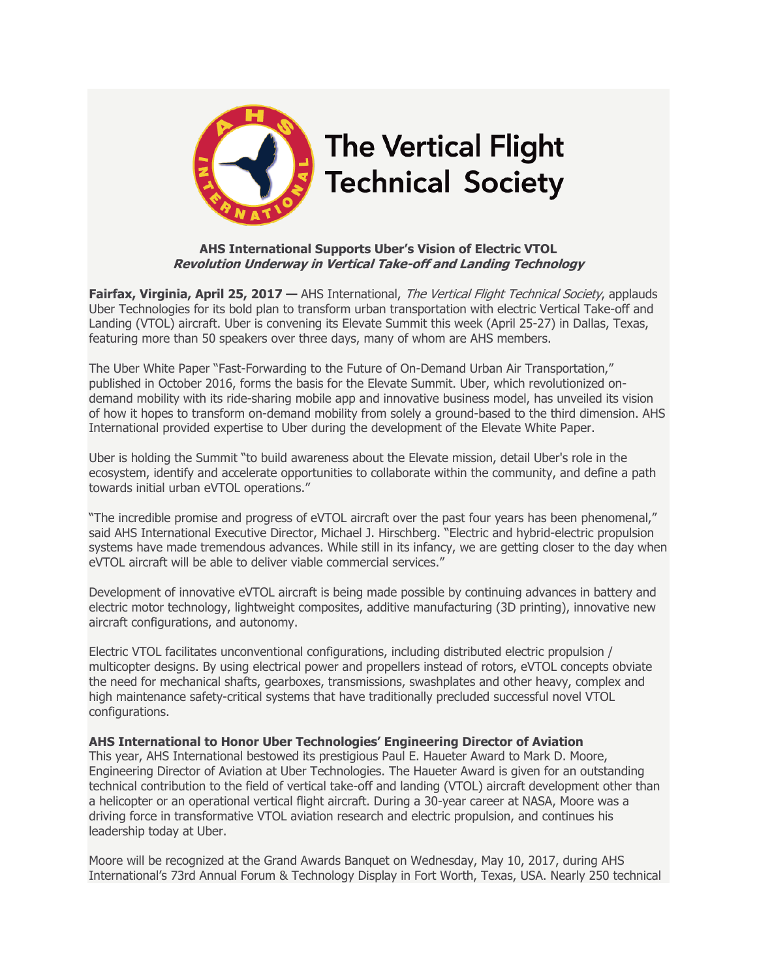

## **AHS International Supports Uber's Vision of Electric VTOL Revolution Underway in Vertical Take-off and Landing Technology**

**Fairfax, Virginia, April 25, 2017 —** AHS International, The Vertical Flight Technical Society, applauds Uber Technologies for its bold plan to transform urban transportation with electric Vertical Take-off and Landing (VTOL) aircraft. Uber is convening its Elevate Summit this week (April 25-27) in Dallas, Texas, featuring more than 50 speakers over three days, many of whom are AHS members.

The Uber White Paper "Fast-Forwarding to the Future of On-Demand Urban Air Transportation," published in October 2016, forms the basis for the Elevate Summit. Uber, which revolutionized ondemand mobility with its ride-sharing mobile app and innovative business model, has unveiled its vision of how it hopes to transform on-demand mobility from solely a ground-based to the third dimension. AHS International provided expertise to Uber during the development of the Elevate White Paper.

Uber is holding the Summit "to build awareness about the Elevate mission, detail Uber's role in the ecosystem, identify and accelerate opportunities to collaborate within the community, and define a path towards initial urban eVTOL operations."

"The incredible promise and progress of eVTOL aircraft over the past four years has been phenomenal," said AHS International Executive Director, Michael J. Hirschberg. "Electric and hybrid-electric propulsion systems have made tremendous advances. While still in its infancy, we are getting closer to the day when eVTOL aircraft will be able to deliver viable commercial services."

Development of innovative eVTOL aircraft is being made possible by continuing advances in battery and electric motor technology, lightweight composites, additive manufacturing (3D printing), innovative new aircraft configurations, and autonomy.

Electric VTOL facilitates unconventional configurations, including distributed electric propulsion / multicopter designs. By using electrical power and propellers instead of rotors, eVTOL concepts obviate the need for mechanical shafts, gearboxes, transmissions, swashplates and other heavy, complex and high maintenance safety-critical systems that have traditionally precluded successful novel VTOL configurations.

## **AHS International to Honor Uber Technologies' Engineering Director of Aviation**

This year, AHS International bestowed its prestigious Paul E. Haueter Award to Mark D. Moore, Engineering Director of Aviation at Uber Technologies. The Haueter Award is given for an outstanding technical contribution to the field of vertical take-off and landing (VTOL) aircraft development other than a helicopter or an operational vertical flight aircraft. During a 30-year career at NASA, Moore was a driving force in transformative VTOL aviation research and electric propulsion, and continues his leadership today at Uber.

Moore will be recognized at the Grand Awards Banquet on Wednesday, May 10, 2017, during AHS International's 73rd Annual Forum & Technology Display in Fort Worth, Texas, USA. Nearly 250 technical